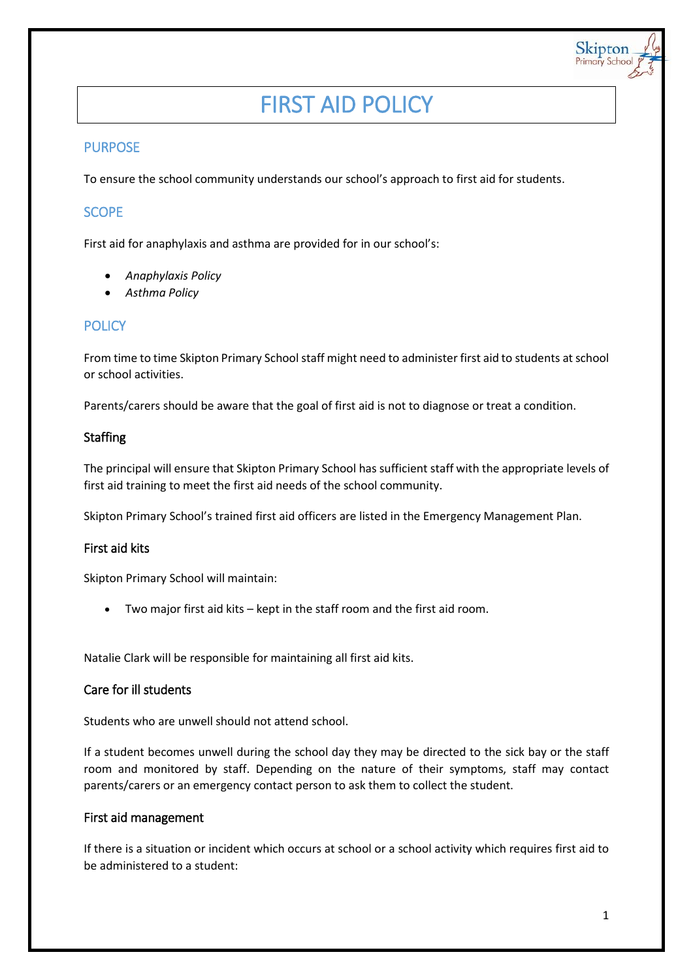# FIRST AID POLICY

## PURPOSE

To ensure the school community understands our school's approach to first aid for students.

## **SCOPE**

First aid for anaphylaxis and asthma are provided for in our school's:

- *Anaphylaxis Policy*
- *Asthma Policy*

## **POLICY**

From time to time Skipton Primary School staff might need to administer first aid to students at school or school activities.

Parents/carers should be aware that the goal of first aid is not to diagnose or treat a condition.

#### Staffing

The principal will ensure that Skipton Primary School has sufficient staff with the appropriate levels of first aid training to meet the first aid needs of the school community.

Skipton Primary School's trained first aid officers are listed in the Emergency Management Plan.

## First aid kits

Skipton Primary School will maintain:

Two major first aid kits – kept in the staff room and the first aid room.

Natalie Clark will be responsible for maintaining all first aid kits.

#### Care for ill students

Students who are unwell should not attend school.

If a student becomes unwell during the school day they may be directed to the sick bay or the staff room and monitored by staff. Depending on the nature of their symptoms, staff may contact parents/carers or an emergency contact person to ask them to collect the student.

#### First aid management

If there is a situation or incident which occurs at school or a school activity which requires first aid to be administered to a student:

Skipton